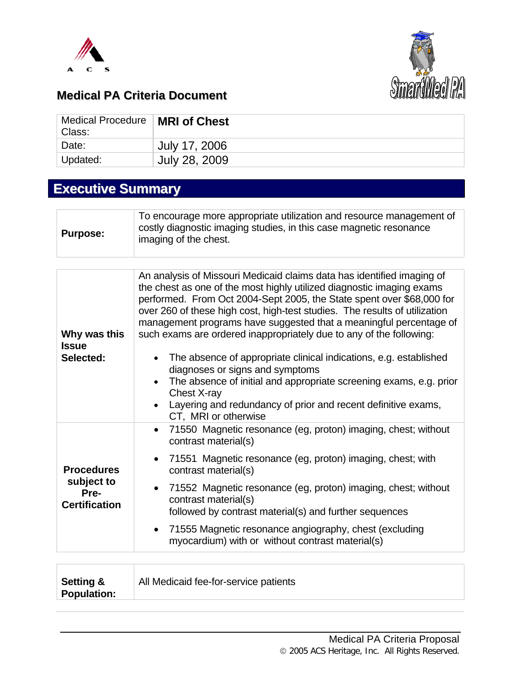



### **Medical PA Criteria Document**

| Medical Procedure<br>Class: | <b>MRI of Chest</b> |
|-----------------------------|---------------------|
| <sup>'</sup> Date:          | July 17, 2006       |
| <sup>⊥</sup> Updated:       | July 28, 2009       |

# **Executive Summary**

| <b>Purpose:</b> | To encourage more appropriate utilization and resource management of<br>costly diagnostic imaging studies, in this case magnetic resonance<br>imaging of the chest. |
|-----------------|---------------------------------------------------------------------------------------------------------------------------------------------------------------------|
|                 |                                                                                                                                                                     |

|                                                                 | An analysis of Missouri Medicaid claims data has identified imaging of<br>the chest as one of the most highly utilized diagnostic imaging exams<br>performed. From Oct 2004-Sept 2005, the State spent over \$68,000 for<br>over 260 of these high cost, high-test studies. The results of utilization |
|-----------------------------------------------------------------|--------------------------------------------------------------------------------------------------------------------------------------------------------------------------------------------------------------------------------------------------------------------------------------------------------|
| Why was this<br><b>Issue</b>                                    | management programs have suggested that a meaningful percentage of<br>such exams are ordered inappropriately due to any of the following:                                                                                                                                                              |
| Selected:                                                       | The absence of appropriate clinical indications, e.g. established<br>diagnoses or signs and symptoms<br>The absence of initial and appropriate screening exams, e.g. prior<br>$\bullet$                                                                                                                |
|                                                                 | Chest X-ray<br>Layering and redundancy of prior and recent definitive exams,<br>CT, MRI or otherwise                                                                                                                                                                                                   |
|                                                                 | 71550 Magnetic resonance (eg, proton) imaging, chest; without<br>$\bullet$<br>contrast material(s)                                                                                                                                                                                                     |
| <b>Procedures</b><br>subject to<br>Pre-<br><b>Certification</b> | 71551 Magnetic resonance (eg, proton) imaging, chest; with<br>$\bullet$<br>contrast material(s)                                                                                                                                                                                                        |
|                                                                 | 71552 Magnetic resonance (eg, proton) imaging, chest; without<br>$\bullet$<br>contrast material(s)<br>followed by contrast material(s) and further sequences                                                                                                                                           |
|                                                                 | 71555 Magnetic resonance angiography, chest (excluding<br>$\bullet$<br>myocardium) with or without contrast material(s)                                                                                                                                                                                |

| All Medicaid fee-for-service patients<br><b>Setting &amp;</b><br>Population: |
|------------------------------------------------------------------------------|
|------------------------------------------------------------------------------|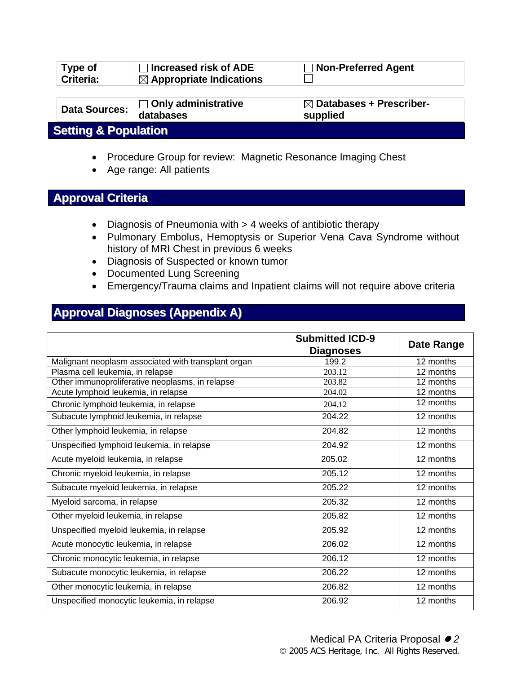| <b>Type of</b><br>Criteria:     | Increased risk of ADE<br>$\boxtimes$ Appropriate Indications | <b>Non-Preferred Agent</b>                      |  |
|---------------------------------|--------------------------------------------------------------|-------------------------------------------------|--|
| <b>Data Sources:</b>            | $\Box$ Only administrative<br>databases                      | $\boxtimes$ Databases + Prescriber-<br>supplied |  |
| <b>Setting &amp; Population</b> |                                                              |                                                 |  |

- Procedure Group for review: Magnetic Resonance Imaging Chest
- Age range: All patients

#### **Approval Criteria**

- Diagnosis of Pneumonia with > 4 weeks of antibiotic therapy
- Pulmonary Embolus, Hemoptysis or Superior Vena Cava Syndrome without history of MRI Chest in previous 6 weeks
- Diagnosis of Suspected or known tumor
- Documented Lung Screening
- Emergency/Trauma claims and Inpatient claims will not require above criteria

### **Approval Diagnoses (Appendix A)**

|                                                     | <b>Submitted ICD-9</b><br><b>Diagnoses</b> | <b>Date Range</b> |
|-----------------------------------------------------|--------------------------------------------|-------------------|
| Malignant neoplasm associated with transplant organ | 199.2                                      | 12 months         |
| Plasma cell leukemia, in relapse                    | 203.12                                     | 12 months         |
| Other immunoproliferative neoplasms, in relapse     | 203.82                                     | 12 months         |
| Acute lymphoid leukemia, in relapse                 | 204.02                                     | 12 months         |
| Chronic lymphoid leukemia, in relapse               | 204.12                                     | 12 months         |
| Subacute lymphoid leukemia, in relapse              | 204.22                                     | 12 months         |
| Other lymphoid leukemia, in relapse                 | 204.82                                     | 12 months         |
| Unspecified lymphoid leukemia, in relapse           | 204.92                                     | 12 months         |
| Acute myeloid leukemia, in relapse                  | 205.02                                     | 12 months         |
| Chronic myeloid leukemia, in relapse                | 205.12                                     | 12 months         |
| Subacute myeloid leukemia, in relapse               | 205.22                                     | 12 months         |
| Myeloid sarcoma, in relapse                         | 205.32                                     | 12 months         |
| Other myeloid leukemia, in relapse                  | 205.82                                     | 12 months         |
| Unspecified myeloid leukemia, in relapse            | 205.92                                     | 12 months         |
| Acute monocytic leukemia, in relapse                | 206.02                                     | 12 months         |
| Chronic monocytic leukemia, in relapse              | 206.12                                     | 12 months         |
| Subacute monocytic leukemia, in relapse             | 206.22                                     | 12 months         |
| Other monocytic leukemia, in relapse                | 206.82                                     | 12 months         |
| Unspecified monocytic leukemia, in relapse          | 206.92                                     | 12 months         |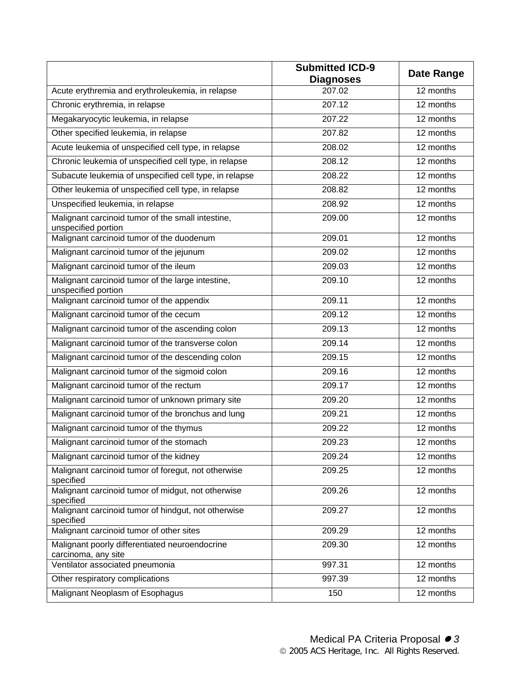|                                                                          | <b>Submitted ICD-9</b><br><b>Diagnoses</b> | <b>Date Range</b>      |
|--------------------------------------------------------------------------|--------------------------------------------|------------------------|
| Acute erythremia and erythroleukemia, in relapse                         | 207.02                                     | 12 months              |
| Chronic erythremia, in relapse                                           | 207.12                                     | 12 months              |
| Megakaryocytic leukemia, in relapse                                      | 207.22                                     | 12 months              |
| Other specified leukemia, in relapse                                     | 207.82                                     | 12 months              |
| Acute leukemia of unspecified cell type, in relapse                      | 208.02                                     | 12 months              |
| Chronic leukemia of unspecified cell type, in relapse                    | 208.12                                     | 12 months              |
| Subacute leukemia of unspecified cell type, in relapse                   | 208.22                                     | 12 months              |
| Other leukemia of unspecified cell type, in relapse                      | 208.82                                     | 12 months              |
| Unspecified leukemia, in relapse                                         | 208.92                                     | 12 months              |
| Malignant carcinoid tumor of the small intestine,<br>unspecified portion | 209.00                                     | 12 months              |
| Malignant carcinoid tumor of the duodenum                                | 209.01                                     | 12 months              |
| Malignant carcinoid tumor of the jejunum                                 | 209.02                                     | 12 months              |
| Malignant carcinoid tumor of the ileum                                   | 209.03                                     | $\overline{12}$ months |
| Malignant carcinoid tumor of the large intestine,<br>unspecified portion | 209.10                                     | 12 months              |
| Malignant carcinoid tumor of the appendix                                | 209.11                                     | 12 months              |
| Malignant carcinoid tumor of the cecum                                   | 209.12                                     | 12 months              |
| Malignant carcinoid tumor of the ascending colon                         | 209.13                                     | 12 months              |
| Malignant carcinoid tumor of the transverse colon                        | 209.14                                     | 12 months              |
| Malignant carcinoid tumor of the descending colon                        | 209.15                                     | 12 months              |
| Malignant carcinoid tumor of the sigmoid colon                           | 209.16                                     | 12 months              |
| Malignant carcinoid tumor of the rectum                                  | 209.17                                     | 12 months              |
| Malignant carcinoid tumor of unknown primary site                        | 209.20                                     | 12 months              |
| Malignant carcinoid tumor of the bronchus and lung                       | 209.21                                     | 12 months              |
| Malignant carcinoid tumor of the thymus                                  | 209.22                                     | $\overline{12}$ months |
| Malignant carcinoid tumor of the stomach                                 | 209.23                                     | 12 months              |
| Malignant carcinoid tumor of the kidney                                  | 209.24                                     | 12 months              |
| Malignant carcinoid tumor of foregut, not otherwise<br>specified         | 209.25                                     | 12 months              |
| Malignant carcinoid tumor of midgut, not otherwise<br>specified          | 209.26                                     | 12 months              |
| Malignant carcinoid tumor of hindgut, not otherwise<br>specified         | 209.27                                     | 12 months              |
| Malignant carcinoid tumor of other sites                                 | 209.29                                     | 12 months              |
| Malignant poorly differentiated neuroendocrine<br>carcinoma, any site    | 209.30                                     | 12 months              |
| Ventilator associated pneumonia                                          | 997.31                                     | 12 months              |
| Other respiratory complications                                          | 997.39                                     | 12 months              |
| Malignant Neoplasm of Esophagus                                          | 150                                        | 12 months              |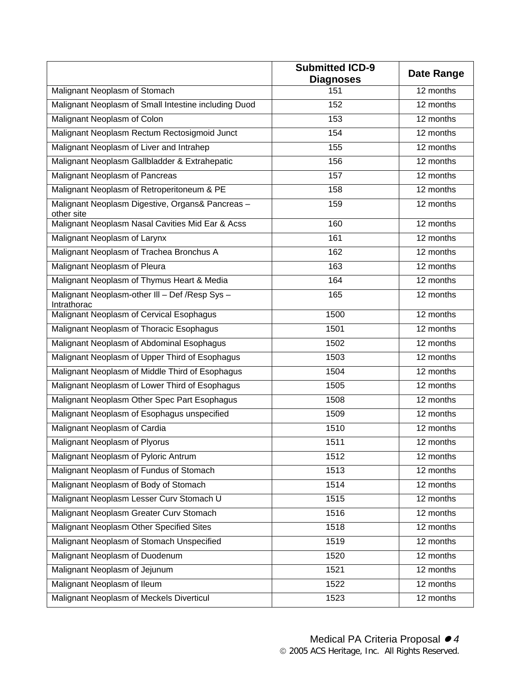|                                                                | <b>Submitted ICD-9</b><br><b>Diagnoses</b> | <b>Date Range</b> |
|----------------------------------------------------------------|--------------------------------------------|-------------------|
| Malignant Neoplasm of Stomach                                  | 151                                        | 12 months         |
| Malignant Neoplasm of Small Intestine including Duod           | 152                                        | 12 months         |
| Malignant Neoplasm of Colon                                    | 153                                        | 12 months         |
| Malignant Neoplasm Rectum Rectosigmoid Junct                   | 154                                        | 12 months         |
| Malignant Neoplasm of Liver and Intrahep                       | 155                                        | 12 months         |
| Malignant Neoplasm Gallbladder & Extrahepatic                  | 156                                        | 12 months         |
| Malignant Neoplasm of Pancreas                                 | 157                                        | 12 months         |
| Malignant Neoplasm of Retroperitoneum & PE                     | 158                                        | 12 months         |
| Malignant Neoplasm Digestive, Organs& Pancreas -<br>other site | 159                                        | 12 months         |
| Malignant Neoplasm Nasal Cavities Mid Ear & Acss               | 160                                        | 12 months         |
| Malignant Neoplasm of Larynx                                   | 161                                        | 12 months         |
| Malignant Neoplasm of Trachea Bronchus A                       | 162                                        | 12 months         |
| Malignant Neoplasm of Pleura                                   | 163                                        | 12 months         |
| Malignant Neoplasm of Thymus Heart & Media                     | 164                                        | 12 months         |
| Malignant Neoplasm-other III - Def /Resp Sys -<br>Intrathorac  | 165                                        | 12 months         |
| Malignant Neoplasm of Cervical Esophagus                       | 1500                                       | 12 months         |
| Malignant Neoplasm of Thoracic Esophagus                       | 1501                                       | 12 months         |
| Malignant Neoplasm of Abdominal Esophagus                      | 1502                                       | 12 months         |
| Malignant Neoplasm of Upper Third of Esophagus                 | 1503                                       | 12 months         |
| Malignant Neoplasm of Middle Third of Esophagus                | 1504                                       | 12 months         |
| Malignant Neoplasm of Lower Third of Esophagus                 | 1505                                       | 12 months         |
| Malignant Neoplasm Other Spec Part Esophagus                   | 1508                                       | 12 months         |
| Malignant Neoplasm of Esophagus unspecified                    | 1509                                       | 12 months         |
| Malignant Neoplasm of Cardia                                   | 1510                                       | 12 months         |
| Malignant Neoplasm of Plyorus                                  | 1511                                       | $12$ months       |
| Malignant Neoplasm of Pyloric Antrum                           | 1512                                       | 12 months         |
| Malignant Neoplasm of Fundus of Stomach                        | 1513                                       | 12 months         |
| Malignant Neoplasm of Body of Stomach                          | 1514                                       | 12 months         |
| Malignant Neoplasm Lesser Curv Stomach U                       | 1515                                       | 12 months         |
| Malignant Neoplasm Greater Curv Stomach                        | 1516                                       | 12 months         |
| Malignant Neoplasm Other Specified Sites                       | 1518                                       | 12 months         |
| Malignant Neoplasm of Stomach Unspecified                      | 1519                                       | 12 months         |
| Malignant Neoplasm of Duodenum                                 | 1520                                       | 12 months         |
| Malignant Neoplasm of Jejunum                                  | 1521                                       | 12 months         |
| Malignant Neoplasm of Ileum                                    | 1522                                       | 12 months         |
| Malignant Neoplasm of Meckels Diverticul                       | 1523                                       | 12 months         |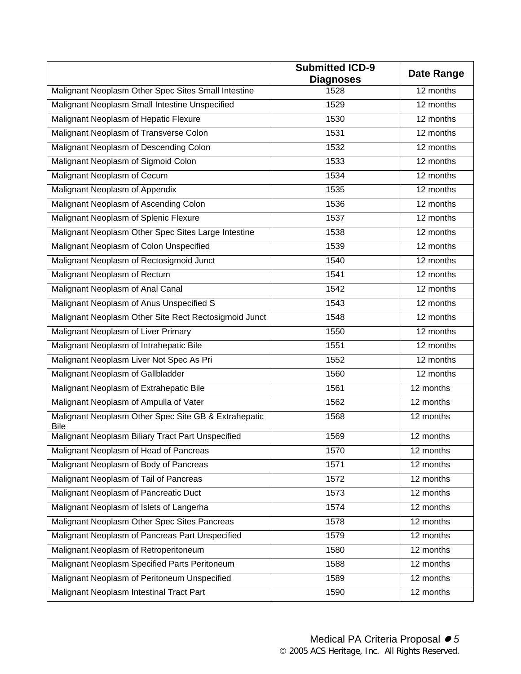|                                                                     | <b>Submitted ICD-9</b><br><b>Diagnoses</b> | <b>Date Range</b> |
|---------------------------------------------------------------------|--------------------------------------------|-------------------|
| Malignant Neoplasm Other Spec Sites Small Intestine                 | 1528                                       | 12 months         |
| Malignant Neoplasm Small Intestine Unspecified                      | 1529                                       | 12 months         |
| Malignant Neoplasm of Hepatic Flexure                               | 1530                                       | 12 months         |
| Malignant Neoplasm of Transverse Colon                              | 1531                                       | 12 months         |
| Malignant Neoplasm of Descending Colon                              | 1532                                       | 12 months         |
| Malignant Neoplasm of Sigmoid Colon                                 | 1533                                       | 12 months         |
| Malignant Neoplasm of Cecum                                         | 1534                                       | 12 months         |
| Malignant Neoplasm of Appendix                                      | 1535                                       | 12 months         |
| Malignant Neoplasm of Ascending Colon                               | 1536                                       | 12 months         |
| Malignant Neoplasm of Splenic Flexure                               | 1537                                       | 12 months         |
| Malignant Neoplasm Other Spec Sites Large Intestine                 | 1538                                       | 12 months         |
| Malignant Neoplasm of Colon Unspecified                             | 1539                                       | 12 months         |
| Malignant Neoplasm of Rectosigmoid Junct                            | 1540                                       | 12 months         |
| Malignant Neoplasm of Rectum                                        | 1541                                       | 12 months         |
| Malignant Neoplasm of Anal Canal                                    | 1542                                       | 12 months         |
| Malignant Neoplasm of Anus Unspecified S                            | 1543                                       | 12 months         |
| Malignant Neoplasm Other Site Rect Rectosigmoid Junct               | 1548                                       | 12 months         |
| Malignant Neoplasm of Liver Primary                                 | 1550                                       | 12 months         |
| Malignant Neoplasm of Intrahepatic Bile                             | 1551                                       | 12 months         |
| Malignant Neoplasm Liver Not Spec As Pri                            | 1552                                       | 12 months         |
| Malignant Neoplasm of Gallbladder                                   | 1560                                       | 12 months         |
| Malignant Neoplasm of Extrahepatic Bile                             | 1561                                       | 12 months         |
| Malignant Neoplasm of Ampulla of Vater                              | 1562                                       | 12 months         |
| Malignant Neoplasm Other Spec Site GB & Extrahepatic<br><b>Bile</b> | 1568                                       | 12 months         |
| Malignant Neoplasm Biliary Tract Part Unspecified                   | 1569                                       | 12 months         |
| Malignant Neoplasm of Head of Pancreas                              | 1570                                       | 12 months         |
| Malignant Neoplasm of Body of Pancreas                              | 1571                                       | 12 months         |
| Malignant Neoplasm of Tail of Pancreas                              | 1572                                       | 12 months         |
| Malignant Neoplasm of Pancreatic Duct                               | 1573                                       | 12 months         |
| Malignant Neoplasm of Islets of Langerha                            | 1574                                       | 12 months         |
| Malignant Neoplasm Other Spec Sites Pancreas                        | 1578                                       | 12 months         |
| Malignant Neoplasm of Pancreas Part Unspecified                     | 1579                                       | 12 months         |
| Malignant Neoplasm of Retroperitoneum                               | 1580                                       | 12 months         |
| Malignant Neoplasm Specified Parts Peritoneum                       | 1588                                       | 12 months         |
| Malignant Neoplasm of Peritoneum Unspecified                        | 1589                                       | 12 months         |
| Malignant Neoplasm Intestinal Tract Part                            | 1590                                       | 12 months         |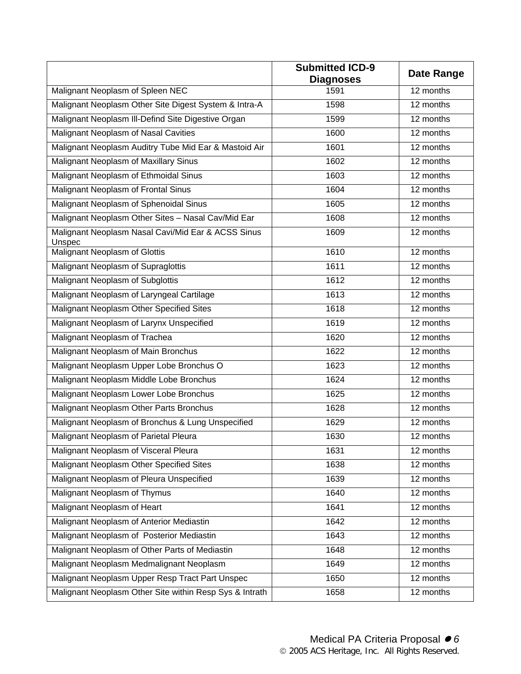|                                                              | <b>Submitted ICD-9</b><br><b>Diagnoses</b> | <b>Date Range</b> |
|--------------------------------------------------------------|--------------------------------------------|-------------------|
| Malignant Neoplasm of Spleen NEC                             | 1591                                       | 12 months         |
| Malignant Neoplasm Other Site Digest System & Intra-A        | 1598                                       | 12 months         |
| Malignant Neoplasm III-Defind Site Digestive Organ           | 1599                                       | 12 months         |
| Malignant Neoplasm of Nasal Cavities                         | 1600                                       | 12 months         |
| Malignant Neoplasm Auditry Tube Mid Ear & Mastoid Air        | 1601                                       | 12 months         |
| Malignant Neoplasm of Maxillary Sinus                        | 1602                                       | 12 months         |
| Malignant Neoplasm of Ethmoidal Sinus                        | 1603                                       | 12 months         |
| Malignant Neoplasm of Frontal Sinus                          | 1604                                       | 12 months         |
| Malignant Neoplasm of Sphenoidal Sinus                       | 1605                                       | 12 months         |
| Malignant Neoplasm Other Sites - Nasal Cav/Mid Ear           | 1608                                       | 12 months         |
| Malignant Neoplasm Nasal Cavi/Mid Ear & ACSS Sinus<br>Unspec | 1609                                       | 12 months         |
| Malignant Neoplasm of Glottis                                | 1610                                       | 12 months         |
| Malignant Neoplasm of Supraglottis                           | 1611                                       | 12 months         |
| Malignant Neoplasm of Subglottis                             | 1612                                       | 12 months         |
| Malignant Neoplasm of Laryngeal Cartilage                    | 1613                                       | 12 months         |
| Malignant Neoplasm Other Specified Sites                     | 1618                                       | 12 months         |
| Malignant Neoplasm of Larynx Unspecified                     | 1619                                       | 12 months         |
| Malignant Neoplasm of Trachea                                | 1620                                       | 12 months         |
| Malignant Neoplasm of Main Bronchus                          | 1622                                       | 12 months         |
| Malignant Neoplasm Upper Lobe Bronchus O                     | 1623                                       | 12 months         |
| Malignant Neoplasm Middle Lobe Bronchus                      | 1624                                       | 12 months         |
| Malignant Neoplasm Lower Lobe Bronchus                       | 1625                                       | 12 months         |
| Malignant Neoplasm Other Parts Bronchus                      | 1628                                       | 12 months         |
| Malignant Neoplasm of Bronchus & Lung Unspecified            | 1629                                       | 12 months         |
| Malignant Neoplasm of Parietal Pleura                        | 1630                                       | 12 months         |
| Malignant Neoplasm of Visceral Pleura                        | 1631                                       | 12 months         |
| Malignant Neoplasm Other Specified Sites                     | 1638                                       | 12 months         |
| Malignant Neoplasm of Pleura Unspecified                     | 1639                                       | 12 months         |
| Malignant Neoplasm of Thymus                                 | 1640                                       | 12 months         |
| Malignant Neoplasm of Heart                                  | 1641                                       | 12 months         |
| Malignant Neoplasm of Anterior Mediastin                     | 1642                                       | 12 months         |
| Malignant Neoplasm of Posterior Mediastin                    | 1643                                       | 12 months         |
| Malignant Neoplasm of Other Parts of Mediastin               | 1648                                       | 12 months         |
| Malignant Neoplasm Medmalignant Neoplasm                     | 1649                                       | 12 months         |
| Malignant Neoplasm Upper Resp Tract Part Unspec              | 1650                                       | 12 months         |
| Malignant Neoplasm Other Site within Resp Sys & Intrath      | 1658                                       | 12 months         |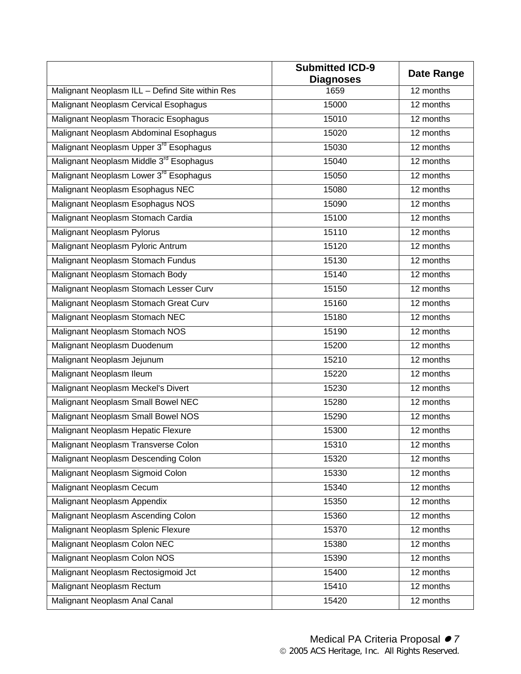|                                                     | <b>Submitted ICD-9</b><br><b>Diagnoses</b> | <b>Date Range</b>      |
|-----------------------------------------------------|--------------------------------------------|------------------------|
| Malignant Neoplasm ILL - Defind Site within Res     | 1659                                       | 12 months              |
| Malignant Neoplasm Cervical Esophagus               | 15000                                      | 12 months              |
| Malignant Neoplasm Thoracic Esophagus               | 15010                                      | 12 months              |
| Malignant Neoplasm Abdominal Esophagus              | 15020                                      | 12 months              |
| Malignant Neoplasm Upper 3 <sup>rd</sup> Esophagus  | 15030                                      | 12 months              |
| Malignant Neoplasm Middle 3 <sup>rd</sup> Esophagus | 15040                                      | 12 months              |
| Malignant Neoplasm Lower 3 <sup>rd</sup> Esophagus  | 15050                                      | 12 months              |
| Malignant Neoplasm Esophagus NEC                    | 15080                                      | 12 months              |
| Malignant Neoplasm Esophagus NOS                    | 15090                                      | 12 months              |
| Malignant Neoplasm Stomach Cardia                   | 15100                                      | 12 months              |
| <b>Malignant Neoplasm Pylorus</b>                   | 15110                                      | 12 months              |
| Malignant Neoplasm Pyloric Antrum                   | 15120                                      | 12 months              |
| Malignant Neoplasm Stomach Fundus                   | 15130                                      | 12 months              |
| Malignant Neoplasm Stomach Body                     | 15140                                      | 12 months              |
| Malignant Neoplasm Stomach Lesser Curv              | 15150                                      | 12 months              |
| Malignant Neoplasm Stomach Great Curv               | 15160                                      | 12 months              |
| Malignant Neoplasm Stomach NEC                      | 15180                                      | 12 months              |
| Malignant Neoplasm Stomach NOS                      | 15190                                      | 12 months              |
| Malignant Neoplasm Duodenum                         | 15200                                      | 12 months              |
| Malignant Neoplasm Jejunum                          | 15210                                      | 12 months              |
| Malignant Neoplasm Ileum                            | 15220                                      | 12 months              |
| Malignant Neoplasm Meckel's Divert                  | 15230                                      | 12 months              |
| Malignant Neoplasm Small Bowel NEC                  | 15280                                      | 12 months              |
| Malignant Neoplasm Small Bowel NOS                  | 15290                                      | $\overline{12}$ months |
| Malignant Neoplasm Hepatic Flexure                  | 15300                                      | 12 months              |
| Malignant Neoplasm Transverse Colon                 | 15310                                      | 12 months              |
| Malignant Neoplasm Descending Colon                 | 15320                                      | 12 months              |
| Malignant Neoplasm Sigmoid Colon                    | 15330                                      | 12 months              |
| <b>Malignant Neoplasm Cecum</b>                     | 15340                                      | 12 months              |
| Malignant Neoplasm Appendix                         | 15350                                      | 12 months              |
| Malignant Neoplasm Ascending Colon                  | 15360                                      | 12 months              |
| Malignant Neoplasm Splenic Flexure                  | 15370                                      | 12 months              |
| Malignant Neoplasm Colon NEC                        | 15380                                      | 12 months              |
| Malignant Neoplasm Colon NOS                        | 15390                                      | $\overline{12}$ months |
| Malignant Neoplasm Rectosigmoid Jct                 | 15400                                      | 12 months              |
| Malignant Neoplasm Rectum                           | 15410                                      | 12 months              |
| Malignant Neoplasm Anal Canal                       | 15420                                      | 12 months              |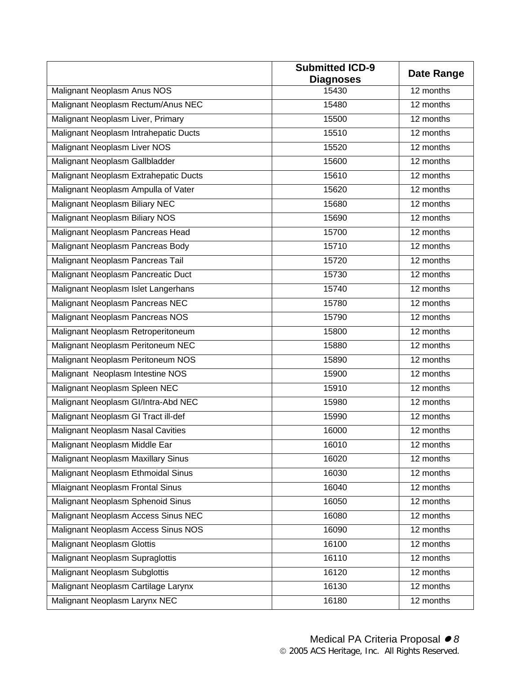|                                           | Submitted ICD-9           | <b>Date Range</b> |
|-------------------------------------------|---------------------------|-------------------|
| Malignant Neoplasm Anus NOS               | <b>Diagnoses</b><br>15430 | 12 months         |
|                                           |                           |                   |
| Malignant Neoplasm Rectum/Anus NEC        | 15480                     | 12 months         |
| Malignant Neoplasm Liver, Primary         | 15500                     | 12 months         |
| Malignant Neoplasm Intrahepatic Ducts     | 15510                     | 12 months         |
| Malignant Neoplasm Liver NOS              | 15520                     | 12 months         |
| Malignant Neoplasm Gallbladder            | 15600                     | 12 months         |
| Malignant Neoplasm Extrahepatic Ducts     | 15610                     | 12 months         |
| Malignant Neoplasm Ampulla of Vater       | 15620                     | 12 months         |
| Malignant Neoplasm Biliary NEC            | 15680                     | 12 months         |
| Malignant Neoplasm Biliary NOS            | 15690                     | 12 months         |
| Malignant Neoplasm Pancreas Head          | 15700                     | 12 months         |
| Malignant Neoplasm Pancreas Body          | 15710                     | 12 months         |
| Malignant Neoplasm Pancreas Tail          | 15720                     | 12 months         |
| Malignant Neoplasm Pancreatic Duct        | 15730                     | 12 months         |
| Malignant Neoplasm Islet Langerhans       | 15740                     | 12 months         |
| Malignant Neoplasm Pancreas NEC           | 15780                     | 12 months         |
| Malignant Neoplasm Pancreas NOS           | 15790                     | 12 months         |
| Malignant Neoplasm Retroperitoneum        | 15800                     | 12 months         |
| Malignant Neoplasm Peritoneum NEC         | 15880                     | 12 months         |
| Malignant Neoplasm Peritoneum NOS         | 15890                     | 12 months         |
| Malignant Neoplasm Intestine NOS          | 15900                     | 12 months         |
| Malignant Neoplasm Spleen NEC             | 15910                     | 12 months         |
| Malignant Neoplasm Gl/Intra-Abd NEC       | 15980                     | 12 months         |
| Malignant Neoplasm GI Tract ill-def       | 15990                     | 12 months         |
| <b>Malignant Neoplasm Nasal Cavities</b>  | 16000                     | 12 months         |
| Malignant Neoplasm Middle Ear             | 16010                     | 12 months         |
| <b>Malignant Neoplasm Maxillary Sinus</b> | 16020                     | 12 months         |
| Malignant Neoplasm Ethmoidal Sinus        | 16030                     | 12 months         |
| <b>Mlaignant Neoplasm Frontal Sinus</b>   | 16040                     | 12 months         |
| Malignant Neoplasm Sphenoid Sinus         | 16050                     | 12 months         |
| Malignant Neoplasm Access Sinus NEC       | 16080                     | 12 months         |
| Malignant Neoplasm Access Sinus NOS       | 16090                     | 12 months         |
| <b>Malignant Neoplasm Glottis</b>         | 16100                     | 12 months         |
| Malignant Neoplasm Supraglottis           | 16110                     | 12 months         |
| <b>Malignant Neoplasm Subglottis</b>      | 16120                     | 12 months         |
| Malignant Neoplasm Cartilage Larynx       | 16130                     | 12 months         |
| Malignant Neoplasm Larynx NEC             | 16180                     | 12 months         |